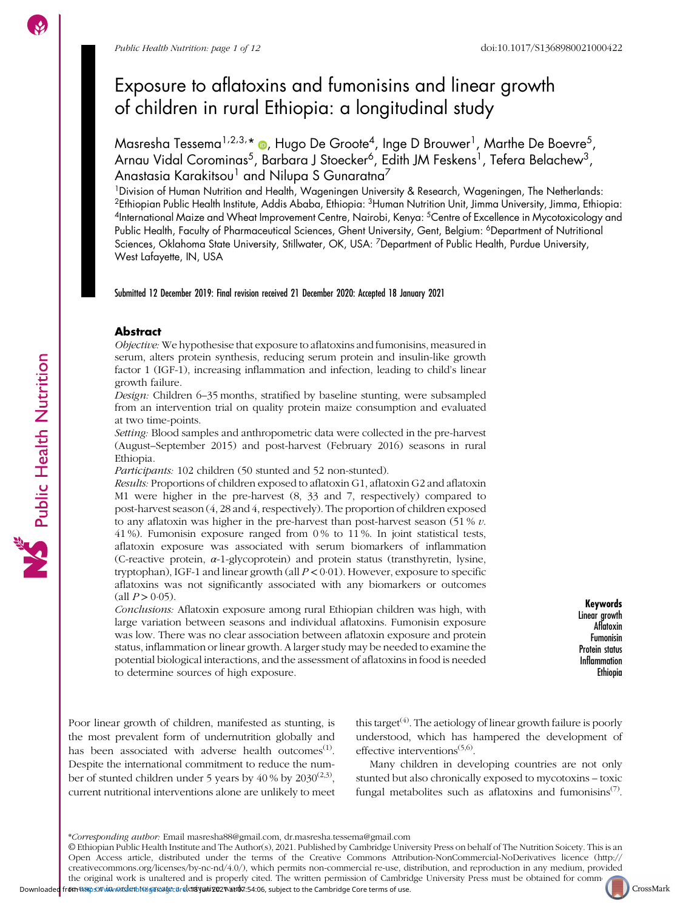# Exposure to aflatoxins and fumonisins and linear growth of children in rural Ethiopia: a longitudinal study

Masresha Tessema<sup>1,2,3,</sup>\* @, Hugo De Groote<sup>4</sup>, Inge D Brouwer<sup>1</sup>, Marthe De Boevre<sup>5</sup>, Arnau Vidal Corominas<sup>5</sup>, Barbara J Stoecker<sup>6</sup>, Edith JM Feskens<sup>1</sup>, Tefera Belachew<sup>3</sup>, Anastasia Karakitsou<sup>1</sup> and Nilupa S Gunaratna<sup>7</sup>

<sup>1</sup>Division of Human Nutrition and Health, Wageningen University & Research, Wageningen, The Netherlands: <sup>2</sup>Ethiopian Public Health Institute, Addis Ababa, Ethiopia: <sup>3</sup>Human Nutrition Unit, Jimma University, Jimma, Ethiopia: 4International Maize and Wheat Improvement Centre, Nairobi, Kenya: 5Centre of Excellence in Mycotoxicology and Public Health, Faculty of Pharmaceutical Sciences, Ghent University, Gent, Belgium: <sup>6</sup>Department of Nutritional Sciences, Oklahoma State University, Stillwater, OK, USA: <sup>7</sup>Department of Public Health, Purdue University, West Lafayette, IN, USA

Submitted 12 December 2019: Final revision received 21 December 2020: Accepted 18 January 2021

#### Abstract

Objective: We hypothesise that exposure to aflatoxins and fumonisins, measured in serum, alters protein synthesis, reducing serum protein and insulin-like growth factor 1 (IGF-1), increasing inflammation and infection, leading to child's linear growth failure.

Design: Children 6–35 months, stratified by baseline stunting, were subsampled from an intervention trial on quality protein maize consumption and evaluated at two time-points.

Setting: Blood samples and anthropometric data were collected in the pre-harvest (August–September 2015) and post-harvest (February 2016) seasons in rural Ethiopia.

Participants: 102 children (50 stunted and 52 non-stunted).

Results: Proportions of children exposed to aflatoxin G1, aflatoxin G2 and aflatoxin M1 were higher in the pre-harvest (8, 33 and 7, respectively) compared to post-harvest season (4, 28 and 4, respectively). The proportion of children exposed to any aflatoxin was higher in the pre-harvest than post-harvest season  $(51\% v)$ . 41 %). Fumonisin exposure ranged from 0 % to 11 %. In joint statistical tests, aflatoxin exposure was associated with serum biomarkers of inflammation (C-reactive protein, α-1-glycoprotein) and protein status (transthyretin, lysine, tryptophan), IGF-1 and linear growth (all  $P < 0.01$ ). However, exposure to specific aflatoxins was not significantly associated with any biomarkers or outcomes (all  $P > 0.05$ ).

Conclusions: Aflatoxin exposure among rural Ethiopian children was high, with large variation between seasons and individual aflatoxins. Fumonisin exposure was low. There was no clear association between aflatoxin exposure and protein status, inflammation or linear growth. A larger study may be needed to examine the potential biological interactions, and the assessment of aflatoxins in food is needed to determine sources of high exposure.

Keywords Linear growth Aflatoxin Fumonisin Protein status Inflammation Ethiopia

Poor linear growth of children, manifested as stunting, is the most prevalent form of undernutrition globally and has been associated with adverse health outcomes $(1)$  $(1)$  $(1)$ . Despite the international commitment to reduce the number of stunted children under 5 years by 40 % by  $2030^{(2,3)}$  $2030^{(2,3)}$  $2030^{(2,3)}$ , current nutritional interventions alone are unlikely to meet this target $(4)$ . The aetiology of linear growth failure is poorly understood, which has hampered the development of effective interventions<sup> $(5,6)$  $(5,6)$  $(5,6)$  $(5,6)$  $(5,6)$ </sup>.

Many children in developing countries are not only stunted but also chronically exposed to mycotoxins – toxic fungal metabolites such as aflatoxins and fumonisins<sup>([7](#page-10-0))</sup>.

© Ethiopian Public Health Institute and The Author(s), 2021. Published by Cambridge University Press on behalf of The Nutrition Soicety. This is an Open Access article, distributed under the terms of the Creative Commons Attribution-NonCommercial-NoDerivatives licence [\(http://](http://creativecommons.org/licenses/by-nc-nd/4.0/) [creativecommons.org/licenses/by-nc-nd/4.0/](http://creativecommons.org/licenses/by-nc-nd/4.0/)), which permits non-commercial re-use, distribution, and reproduction in any medium, provided the original work is unaltered and is properly cited. The written permission of Cambridge University Press must be obtained for comme Downloaded from use or unverder to a greate a derivative work. 54:06, subject to the Cambridge Core terms of use.

<sup>\*</sup>Corresponding author: Email [masresha88@gmail.com,](mailto:masresha88@gmail.com) [dr.masresha.tessema@gmail.com](mailto:dr.masresha.tessema@gmail.com)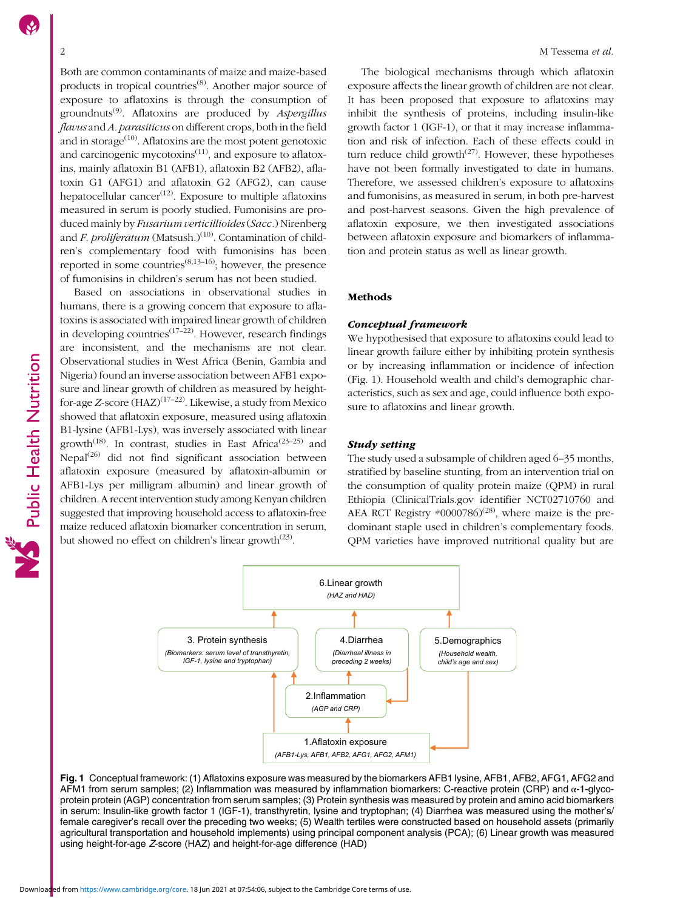Both are common contaminants of maize and maize-based products in tropical countries<sup>[\(8](#page-10-0))</sup>. Another major source of exposure to aflatoxins is through the consumption of groundnuts $(9)$  $(9)$  $(9)$ . Aflatoxins are produced by Aspergillus flavus and A. parasiticus on different crops, both in the field and in storage $(10)$  $(10)$  $(10)$ . Aflatoxins are the most potent genotoxic and carcinogenic mycotoxins $(11)$  $(11)$ , and exposure to aflatoxins, mainly aflatoxin B1 (AFB1), aflatoxin B2 (AFB2), aflatoxin G1 (AFG1) and aflatoxin G2 (AFG2), can cause hepatocellular cancer<sup> $(12)$ </sup>. Exposure to multiple aflatoxins measured in serum is poorly studied. Fumonisins are produced mainly by Fusarium verticillioides (Sacc.) Nirenberg and F. proliferatum (Matsush.)<sup>([10\)](#page-10-0)</sup>. Contamination of children's complementary food with fumonisins has been reported in some countries<sup> $(8,13-16)$  $(8,13-16)$  $(8,13-16)$  $(8,13-16)$  $(8,13-16)$ </sup>; however, the presence of fumonisins in children's serum has not been studied.

Based on associations in observational studies in humans, there is a growing concern that exposure to aflatoxins is associated with impaired linear growth of children in developing countries<sup>([17](#page-10-0)–[22\)](#page-10-0)</sup>. However, research findings are inconsistent, and the mechanisms are not clear. Observational studies in West Africa (Benin, Gambia and Nigeria) found an inverse association between AFB1 exposure and linear growth of children as measured by heightfor-age Z-score  $(HAZ)^{(17-22)}$  $(HAZ)^{(17-22)}$  $(HAZ)^{(17-22)}$  $(HAZ)^{(17-22)}$  $(HAZ)^{(17-22)}$ . Likewise, a study from Mexico showed that aflatoxin exposure, measured using aflatoxin B1-lysine (AFB1-Lys), was inversely associated with linear growth<sup>[\(18\)](#page-10-0)</sup>. In contrast, studies in East Africa<sup>([23](#page-10-0)-[25](#page-10-0))</sup> and Nepal([26](#page-10-0)) did not find significant association between aflatoxin exposure (measured by aflatoxin-albumin or AFB1-Lys per milligram albumin) and linear growth of children. A recent intervention study among Kenyan children suggested that improving household access to aflatoxin-free maize reduced aflatoxin biomarker concentration in serum, but showed no effect on children's linear growth<sup> $(23)$ </sup>.

The biological mechanisms through which aflatoxin exposure affects the linear growth of children are not clear. It has been proposed that exposure to aflatoxins may inhibit the synthesis of proteins, including insulin-like growth factor 1 (IGF-1), or that it may increase inflammation and risk of infection. Each of these effects could in turn reduce child growth<sup> $(27)$  $(27)$  $(27)$ </sup>. However, these hypotheses have not been formally investigated to date in humans. Therefore, we assessed children's exposure to aflatoxins and fumonisins, as measured in serum, in both pre-harvest and post-harvest seasons. Given the high prevalence of aflatoxin exposure, we then investigated associations between aflatoxin exposure and biomarkers of inflammation and protein status as well as linear growth.

### Methods

# Conceptual framework

We hypothesised that exposure to aflatoxins could lead to linear growth failure either by inhibiting protein synthesis or by increasing inflammation or incidence of infection (Fig. 1). Household wealth and child's demographic characteristics, such as sex and age, could influence both exposure to aflatoxins and linear growth.

# Study setting

The study used a subsample of children aged 6–35 months, stratified by baseline stunting, from an intervention trial on the consumption of quality protein maize (QPM) in rural Ethiopia (ClinicalTrials.gov identifier NCT02710760 and AEA RCT Registry  $*0000786$ <sup>[\(28\)](#page-10-0)</sup>, where maize is the predominant staple used in children's complementary foods. QPM varieties have improved nutritional quality but are



Fig. 1 Conceptual framework: (1) Aflatoxins exposure was measured by the biomarkers AFB1 lysine, AFB1, AFB2, AFG1, AFG2 and AFM1 from serum samples; (2) Inflammation was measured by inflammation biomarkers: C-reactive protein (CRP) and α-1-glycoprotein protein (AGP) concentration from serum samples; (3) Protein synthesis was measured by protein and amino acid biomarkers in serum: Insulin-like growth factor 1 (IGF-1), transthyretin, lysine and tryptophan; (4) Diarrhea was measured using the mother's/ female caregiver's recall over the preceding two weeks; (5) Wealth tertiles were constructed based on household assets (primarily agricultural transportation and household implements) using principal component analysis (PCA); (6) Linear growth was measured using height-for-age Z-score (HAZ) and height-for-age difference (HAD)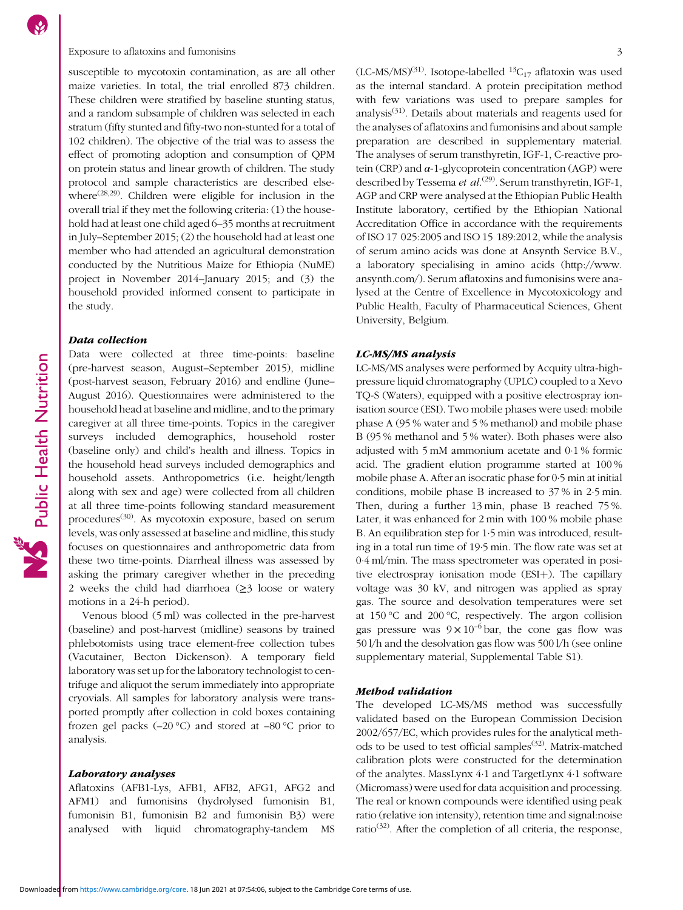#### Exposure to aflatoxins and fumonisins 3

susceptible to mycotoxin contamination, as are all other maize varieties. In total, the trial enrolled 873 children. These children were stratified by baseline stunting status, and a random subsample of children was selected in each stratum (fifty stunted and fifty-two non-stunted for a total of 102 children). The objective of the trial was to assess the effect of promoting adoption and consumption of QPM on protein status and linear growth of children. The study protocol and sample characteristics are described elsewhere<sup> $(28,29)$  $(28,29)$ </sup>. Children were eligible for inclusion in the overall trial if they met the following criteria: (1) the household had at least one child aged 6–35 months at recruitment in July–September 2015; (2) the household had at least one member who had attended an agricultural demonstration conducted by the Nutritious Maize for Ethiopia (NuME) project in November 2014–January 2015; and (3) the household provided informed consent to participate in the study.

#### Data collection

Data were collected at three time-points: baseline (pre-harvest season, August–September 2015), midline (post-harvest season, February 2016) and endline (June– August 2016). Questionnaires were administered to the household head at baseline and midline, and to the primary caregiver at all three time-points. Topics in the caregiver surveys included demographics, household roster (baseline only) and child's health and illness. Topics in the household head surveys included demographics and household assets. Anthropometrics (i.e. height/length along with sex and age) were collected from all children at all three time-points following standard measurement procedures<sup> $(30)$ </sup>. As mycotoxin exposure, based on serum levels, was only assessed at baseline and midline, this study focuses on questionnaires and anthropometric data from these two time-points. Diarrheal illness was assessed by asking the primary caregiver whether in the preceding 2 weeks the child had diarrhoea  $(\geq)$  loose or watery motions in a 24-h period).

Venous blood (5 ml) was collected in the pre-harvest (baseline) and post-harvest (midline) seasons by trained phlebotomists using trace element-free collection tubes (Vacutainer, Becton Dickenson). A temporary field laboratory was set up for the laboratory technologist to centrifuge and aliquot the serum immediately into appropriate cryovials. All samples for laboratory analysis were transported promptly after collection in cold boxes containing frozen gel packs  $(-20 °C)$  and stored at  $-80 °C$  prior to analysis.

# Laboratory analyses

Aflatoxins (AFB1-Lys, AFB1, AFB2, AFG1, AFG2 and AFM1) and fumonisins (hydrolysed fumonisin B1, fumonisin B1, fumonisin B2 and fumonisin B3) were analysed with liquid chromatography-tandem MS  $(LC-MS/MS)^{(31)}$  $(LC-MS/MS)^{(31)}$  $(LC-MS/MS)^{(31)}$ . Isotope-labelled <sup>13</sup>C<sub>17</sub> aflatoxin was used as the internal standard. A protein precipitation method with few variations was used to prepare samples for analysis<sup>[\(31\)](#page-10-0)</sup>. Details about materials and reagents used for the analyses of aflatoxins and fumonisins and about sample preparation are described in supplementary material. The analyses of serum transthyretin, IGF-1, C-reactive protein (CRP) and  $\alpha$ -1-glycoprotein concentration (AGP) were described by Tessema et  $al^{(29)}$  $al^{(29)}$  $al^{(29)}$ . Serum transthyretin, IGF-1, AGP and CRP were analysed at the Ethiopian Public Health Institute laboratory, certified by the Ethiopian National Accreditation Office in accordance with the requirements of ISO 17 025:2005 and ISO 15 189:2012, while the analysis of serum amino acids was done at Ansynth Service B.V., a laboratory specialising in amino acids ([http://www.](http://www.ansynth.com/) [ansynth.com/](http://www.ansynth.com/)). Serum aflatoxins and fumonisins were analysed at the Centre of Excellence in Mycotoxicology and Public Health, Faculty of Pharmaceutical Sciences, Ghent University, Belgium.

# LC-MS/MS analysis

LC-MS/MS analyses were performed by Acquity ultra-highpressure liquid chromatography (UPLC) coupled to a Xevo TQ-S (Waters), equipped with a positive electrospray ionisation source (ESI). Two mobile phases were used: mobile phase A (95 % water and 5 % methanol) and mobile phase B (95 % methanol and 5 % water). Both phases were also adjusted with 5 mM ammonium acetate and 0·1 % formic acid. The gradient elution programme started at 100 % mobile phase A. After an isocratic phase for 0·5 min at initial conditions, mobile phase B increased to 37 % in 2·5 min. Then, during a further 13 min, phase B reached 75 %. Later, it was enhanced for 2 min with 100 % mobile phase B. An equilibration step for 1·5 min was introduced, resulting in a total run time of 19·5 min. The flow rate was set at 0·4 ml/min. The mass spectrometer was operated in positive electrospray ionisation mode (ESI+). The capillary voltage was 30 kV, and nitrogen was applied as spray gas. The source and desolvation temperatures were set at 150 °C and 200 °C, respectively. The argon collision gas pressure was  $9 \times 10^{-6}$  bar, the cone gas flow was 50 l/h and the desolvation gas flow was 500 l/h (see online supplementary material, Supplemental Table [S1](https://doi.org/10.1017/S1368980021000422)).

# Method validation

The developed LC-MS/MS method was successfully validated based on the European Commission Decision 2002/657/EC, which provides rules for the analytical meth-ods to be used to test official samples<sup>([32\)](#page-10-0)</sup>. Matrix-matched calibration plots were constructed for the determination of the analytes. MassLynx 4·1 and TargetLynx 4·1 software (Micromass) were used for data acquisition and processing. The real or known compounds were identified using peak ratio (relative ion intensity), retention time and signal:noise ratio<sup>([32](#page-10-0))</sup>. After the completion of all criteria, the response,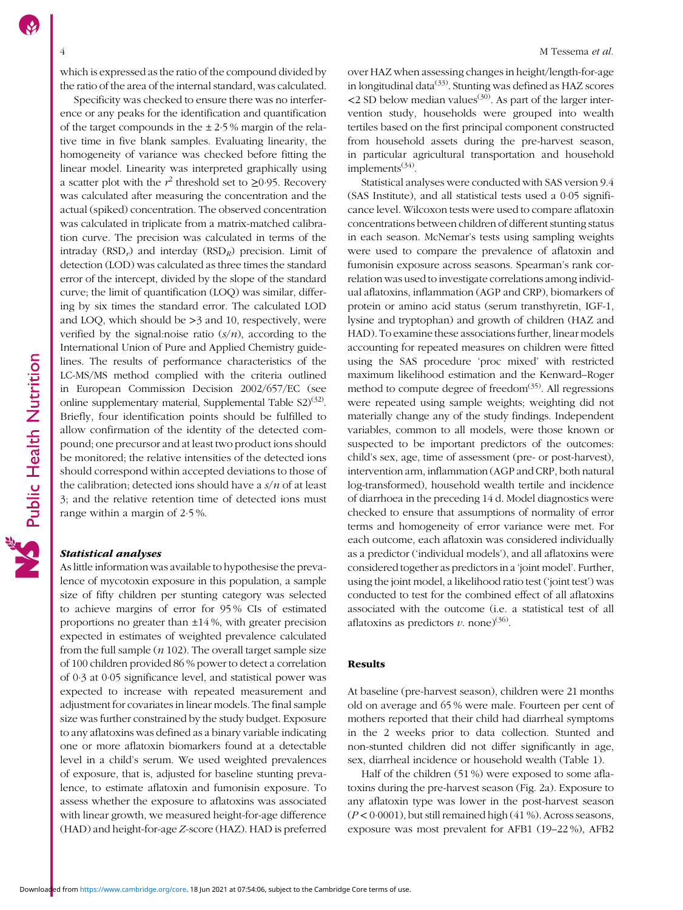Specificity was checked to ensure there was no interference or any peaks for the identification and quantification of the target compounds in the  $\pm 2.5$ % margin of the relative time in five blank samples. Evaluating linearity, the homogeneity of variance was checked before fitting the linear model. Linearity was interpreted graphically using a scatter plot with the  $r^2$  threshold set to ≥0.95. Recovery was calculated after measuring the concentration and the actual (spiked) concentration. The observed concentration was calculated in triplicate from a matrix-matched calibration curve. The precision was calculated in terms of the intraday  $(RSD_r)$  and interday  $(RSD_R)$  precision. Limit of detection (LOD) was calculated as three times the standard error of the intercept, divided by the slope of the standard curve; the limit of quantification (LOQ) was similar, differing by six times the standard error. The calculated LOD and LOQ, which should be >3 and 10, respectively, were verified by the signal: noise ratio  $(s/n)$ , according to the International Union of Pure and Applied Chemistry guidelines. The results of performance characteristics of the LC-MS/MS method complied with the criteria outlined in European Commission Decision 2002/657/EC (see online supplementary material, Supplemental Table  $S(3)$ <sup>([32](#page-10-0))</sup>. Briefly, four identification points should be fulfilled to allow confirmation of the identity of the detected compound; one precursor and at least two product ions should be monitored; the relative intensities of the detected ions should correspond within accepted deviations to those of the calibration; detected ions should have a  $s/n$  of at least 3; and the relative retention time of detected ions must range within a margin of 2·5 %.

## Statistical analyses

As little information was available to hypothesise the prevalence of mycotoxin exposure in this population, a sample size of fifty children per stunting category was selected to achieve margins of error for 95 % CIs of estimated proportions no greater than  $\pm 14$ %, with greater precision expected in estimates of weighted prevalence calculated from the full sample  $(n 102)$ . The overall target sample size of 100 children provided 86 % power to detect a correlation of 0·3 at 0·05 significance level, and statistical power was expected to increase with repeated measurement and adjustment for covariates in linear models. The final sample size was further constrained by the study budget. Exposure to any aflatoxins was defined as a binary variable indicating one or more aflatoxin biomarkers found at a detectable level in a child's serum. We used weighted prevalences of exposure, that is, adjusted for baseline stunting prevalence, to estimate aflatoxin and fumonisin exposure. To assess whether the exposure to aflatoxins was associated with linear growth, we measured height-for-age difference (HAD) and height-for-age Z-score (HAZ). HAD is preferred over HAZ when assessing changes in height/length-for-age in longitudinal data<sup>([33](#page-10-0))</sup>. Stunting was defined as HAZ scores  $<$ 2 SD below median values<sup>([30](#page-10-0))</sup>. As part of the larger intervention study, households were grouped into wealth tertiles based on the first principal component constructed from household assets during the pre-harvest season, in particular agricultural transportation and household implements $(34)$  $(34)$ .

Statistical analyses were conducted with SAS version 9.4 (SAS Institute), and all statistical tests used a 0·05 significance level. Wilcoxon tests were used to compare aflatoxin concentrations between children of different stunting status in each season. McNemar's tests using sampling weights were used to compare the prevalence of aflatoxin and fumonisin exposure across seasons. Spearman's rank correlation was used to investigate correlations among individual aflatoxins, inflammation (AGP and CRP), biomarkers of protein or amino acid status (serum transthyretin, IGF-1, lysine and tryptophan) and growth of children (HAZ and HAD). To examine these associations further, linear models accounting for repeated measures on children were fitted using the SAS procedure 'proc mixed' with restricted maximum likelihood estimation and the Kenward–Roger method to compute degree of freedom $(35)$  $(35)$ . All regressions were repeated using sample weights; weighting did not materially change any of the study findings. Independent variables, common to all models, were those known or suspected to be important predictors of the outcomes: child's sex, age, time of assessment (pre- or post-harvest), intervention arm, inflammation (AGP and CRP, both natural log-transformed), household wealth tertile and incidence of diarrhoea in the preceding 14 d. Model diagnostics were checked to ensure that assumptions of normality of error terms and homogeneity of error variance were met. For each outcome, each aflatoxin was considered individually as a predictor ('individual models'), and all aflatoxins were considered together as predictors in a 'joint model'. Further, using the joint model, a likelihood ratio test ('joint test') was conducted to test for the combined effect of all aflatoxins associated with the outcome (i.e. a statistical test of all aflatoxins as predictors  $v$ . none)<sup>[\(36](#page-10-0))</sup>.

# Results

At baseline (pre-harvest season), children were 21 months old on average and 65 % were male. Fourteen per cent of mothers reported that their child had diarrheal symptoms in the 2 weeks prior to data collection. Stunted and non-stunted children did not differ significantly in age, sex, diarrheal incidence or household wealth (Table [1\)](#page-4-0).

Half of the children (51 %) were exposed to some aflatoxins during the pre-harvest season (Fig. [2](#page-4-0)a). Exposure to any aflatoxin type was lower in the post-harvest season  $(P < 0.0001)$ , but still remained high  $(41\%)$ . Across seasons, exposure was most prevalent for AFB1 (19–22 %), AFB2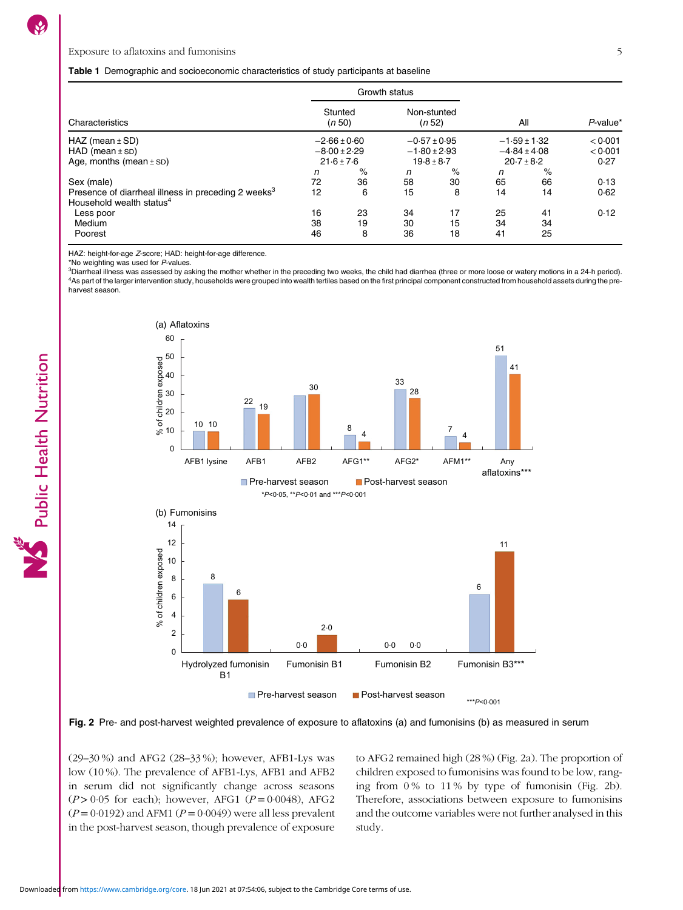#### <span id="page-4-0"></span>Table 1 Demographic and socioeconomic characteristics of study participants at baseline

|                                                                                                         |                                                                             |               | Growth status                                                                   |                |                                                        |                                           |      |
|---------------------------------------------------------------------------------------------------------|-----------------------------------------------------------------------------|---------------|---------------------------------------------------------------------------------|----------------|--------------------------------------------------------|-------------------------------------------|------|
| Characteristics                                                                                         | Stunted<br>(n 50)<br>$-2.66 \pm 0.60$<br>$-8.00 \pm 2.29$<br>$21.6 \pm 7.6$ |               | Non-stunted<br>(n 52)<br>$-0.57 \pm 0.95$<br>$-1.80 \pm 2.93$<br>$19.8 \pm 8.7$ |                | All                                                    | $P$ -value*<br>< 0.001<br>< 0.001<br>0.27 |      |
| $HAZ$ (mean $\pm$ SD)<br>$HAD$ (mean $\pm$ SD)<br>Age, months (mean $\pm$ SD)                           |                                                                             |               |                                                                                 |                | $-1.59 \pm 1.32$<br>$-4.84 \pm 4.08$<br>$20.7 \pm 8.2$ |                                           |      |
| Sex (male)                                                                                              | n<br>72                                                                     | $\%$<br>36    | n<br>58                                                                         | %<br>30        | n<br>65                                                | $\%$<br>66                                | 0.13 |
| Presence of diarrheal illness in preceding 2 weeks <sup>3</sup><br>Household wealth status <sup>4</sup> | 12                                                                          | 6             | 15                                                                              | 8              | 14                                                     | 14                                        | 0.62 |
| Less poor<br>Medium<br>Poorest                                                                          | 16<br>38<br>46                                                              | 23<br>19<br>8 | 34<br>30<br>36                                                                  | 17<br>15<br>18 | 25<br>34<br>41                                         | 41<br>34<br>25                            | 0.12 |

HAZ: height-for-age Z-score; HAD: height-for-age difference.

\*No weighting was used for P-values.

<sup>3</sup>Diarrheal illness was assessed by asking the mother whether in the preceding two weeks, the child had diarrhea (three or more loose or watery motions in a 24-h period). 4As part of the larger intervention study, households were grouped into wealth tertiles based on the first principal component constructed from household assets during the preharvest season.



Fig. 2 Pre- and post-harvest weighted prevalence of exposure to aflatoxins (a) and fumonisins (b) as measured in serum

(29–30 %) and AFG2 (28–33 %); however, AFB1-Lys was low (10 %). The prevalence of AFB1-Lys, AFB1 and AFB2 in serum did not significantly change across seasons  $(P > 0.05$  for each); however, AFG1  $(P = 0.0048)$ , AFG2  $(P = 0.0192)$  and AFM1  $(P = 0.0049)$  were all less prevalent in the post-harvest season, though prevalence of exposure

to AFG2 remained high (28 %) (Fig. 2a). The proportion of children exposed to fumonisins was found to be low, ranging from 0 % to 11 % by type of fumonisin (Fig. 2b). Therefore, associations between exposure to fumonisins and the outcome variables were not further analysed in this study.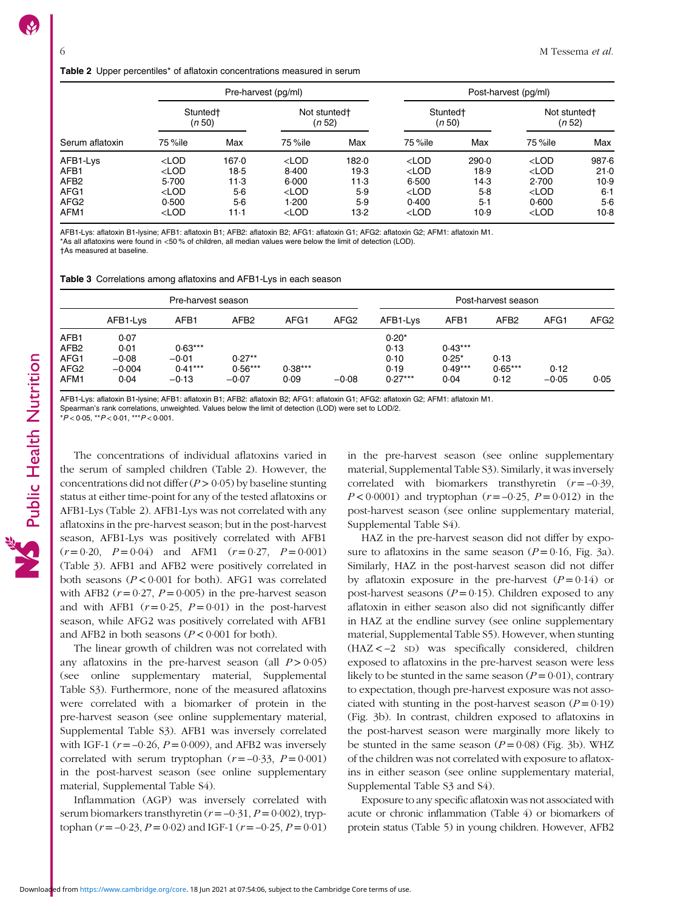| Serum aflatoxin  |                                |       | Pre-harvest (pg/ml)                |       | Post-harvest (pg/ml)           |       |                                    |        |  |  |
|------------------|--------------------------------|-------|------------------------------------|-------|--------------------------------|-------|------------------------------------|--------|--|--|
|                  | Stunted <sup>+</sup><br>(n 50) |       | Not stunted <sup>+</sup><br>(n 52) |       | Stunted <sup>+</sup><br>(n 50) |       | Not stunted <sup>+</sup><br>(n 52) |        |  |  |
|                  | 75 %ile                        | Max   | 75 %ile                            | Max   | 75 %ile                        | Max   | 75 %ile                            | Max    |  |  |
| AFB1-Lys         | $<$ LOD                        | 167.0 | $<$ LOD                            | 182.0 | $<$ LOD                        | 290.0 | $<$ LOD                            | 987.6  |  |  |
| AFB1             | $<$ LOD                        | 18.5  | 8.400                              | 19.3  | $<$ LOD                        | 18.9  | $<$ LOD                            | 21.0   |  |  |
| AFB <sub>2</sub> | 5.700                          | 11.3  | 6.000                              | 11.3  | 6.500                          | 14.3  | 2.700                              | 10.9   |  |  |
| AFG1             | $<$ LOD                        | $5-6$ | $<$ LOD                            | 5.9   | $<$ LOD                        | $5-8$ | $<$ LOD                            | 6·1    |  |  |
| AFG <sub>2</sub> | 0.500                          | $5-6$ | 1.200                              | 5.9   | 0.400                          | $5-1$ | 0.600                              | 5.6    |  |  |
| AFM1             | $<$ LOD                        | 11-1  | $<$ LOD                            | 13.2  | $<$ LOD                        | 10.9  | $<$ LOD                            | $10-8$ |  |  |

AFB1-Lys: aflatoxin B1-lysine; AFB1: aflatoxin B1; AFB2: aflatoxin B2; AFG1: aflatoxin G1; AFG2: aflatoxin G2; AFM1: aflatoxin M1. \*As all aflatoxins were found in <50 % of children, all median values were below the limit of detection (LOD).

†As measured at baseline.

Table 3 Correlations among aflatoxins and AFB1-Lys in each season

|      |          | Pre-harvest season | Post-harvest season |           |                  |           |           |                  |         |                  |
|------|----------|--------------------|---------------------|-----------|------------------|-----------|-----------|------------------|---------|------------------|
|      | AFB1-Lvs | AFB1               | AFB <sub>2</sub>    | AFG1      | AFG <sub>2</sub> | AFB1-Lvs  | AFB1      | AFB <sub>2</sub> | AFG1    | AFG <sub>2</sub> |
| AFB1 | 0.07     |                    |                     |           |                  | $0.20*$   |           |                  |         |                  |
| AFB2 | 0.01     | $0.63***$          |                     |           |                  | 0.13      | $0.43***$ |                  |         |                  |
| AFG1 | $-0.08$  | $-0.01$            | $0.27**$            |           |                  | 0.10      | $0.25*$   | 0.13             |         |                  |
| AFG2 | $-0.004$ | $0.41***$          | $0.56***$           | $0.38***$ |                  | 0.19      | $0.49***$ | $0.65***$        | 0.12    |                  |
| AFM1 | 0.04     | $-0.13$            | $-0.07$             | 0.09      | $-0.08$          | $0.27***$ | 0.04      | 0.12             | $-0.05$ | 0.05             |

AFB1-Lys: aflatoxin B1-lysine; AFB1: aflatoxin B1; AFB2: aflatoxin B2; AFG1: aflatoxin G1; AFG2: aflatoxin G2; AFM1: aflatoxin M1.

Spearman's rank correlations, unweighted. Values below the limit of detection (LOD) were set to LOD/2.<br>\*P < 0·05, \*\*P < 0·01, \*\*\*P < 0·001.

The concentrations of individual aflatoxins varied in the serum of sampled children (Table 2). However, the concentrations did not differ  $(P > 0.05)$  by baseline stunting status at either time-point for any of the tested aflatoxins or AFB1-Lys (Table 2). AFB1-Lys was not correlated with any aflatoxins in the pre-harvest season; but in the post-harvest season, AFB1-Lys was positively correlated with AFB1  $(r=0.20, P=0.04)$  and AFM1  $(r=0.27, P=0.001)$ (Table 3). AFB1 and AFB2 were positively correlated in both seasons ( $P < 0.001$  for both). AFG1 was correlated with AFB2  $(r = 0.27, P = 0.005)$  in the pre-harvest season and with AFB1  $(r=0.25, P=0.01)$  in the post-harvest season, while AFG2 was positively correlated with AFB1 and AFB2 in both seasons ( $P < 0.001$  for both).

The linear growth of children was not correlated with any aflatoxins in the pre-harvest season (all  $P > 0.05$ ) (see online supplementary material, Supplemental Table [S3\)](https://doi.org/10.1017/S1368980021000422). Furthermore, none of the measured aflatoxins were correlated with a biomarker of protein in the pre-harvest season (see online supplementary material, Supplemental Table [S3](https://doi.org/10.1017/S1368980021000422)). AFB1 was inversely correlated with IGF-1 ( $r = -0.26$ ,  $P = 0.009$ ), and AFB2 was inversely correlated with serum tryptophan  $(r = -0.33, P = 0.001)$ in the post-harvest season (see online supplementary material, Supplemental Table [S4](https://doi.org/10.1017/S1368980021000422)).

Inflammation (AGP) was inversely correlated with serum biomarkers transthyretin ( $r = -0.31$ ,  $P = 0.002$ ), tryptophan  $(r = -0.23, P = 0.02)$  and IGF-1  $(r = -0.25, P = 0.01)$  in the pre-harvest season (see online supplementary material, Supplemental Table [S3\)](https://doi.org/10.1017/S1368980021000422). Similarly, it was inversely correlated with biomarkers transthyretin  $(r = -0.39)$ ,  $P < 0.0001$ ) and tryptophan ( $r = -0.25$ ,  $P = 0.012$ ) in the post-harvest season (see online supplementary material, Supplemental Table [S4\)](https://doi.org/10.1017/S1368980021000422).

HAZ in the pre-harvest season did not differ by exposure to aflatoxins in the same season  $(P = 0.16$ , Fig. [3](#page-6-0)a). Similarly, HAZ in the post-harvest season did not differ by aflatoxin exposure in the pre-harvest  $(P = 0.14)$  or post-harvest seasons ( $P = 0.15$ ). Children exposed to any aflatoxin in either season also did not significantly differ in HAZ at the endline survey (see online supplementary material, Supplemental Table [S5](https://doi.org/10.1017/S1368980021000422)). However, when stunting (HAZ < –2 SD) was specifically considered, children exposed to aflatoxins in the pre-harvest season were less likely to be stunted in the same season  $(P = 0.01)$ , contrary to expectation, though pre-harvest exposure was not associated with stunting in the post-harvest season  $(P = 0.19)$ (Fig. [3](#page-6-0)b). In contrast, children exposed to aflatoxins in the post-harvest season were marginally more likely to be stunted in the same season  $(P=0.08)$  (Fig. [3b](#page-6-0)). WHZ of the children was not correlated with exposure to aflatoxins in either season (see online supplementary material, Supplemental Table [S3](https://doi.org/10.1017/S1368980021000422) and [S4\)](https://doi.org/10.1017/S1368980021000422).

Exposure to any specific aflatoxin was not associated with acute or chronic inflammation (Table [4\)](#page-6-0) or biomarkers of protein status (Table [5\)](#page-7-0) in young children. However, AFB2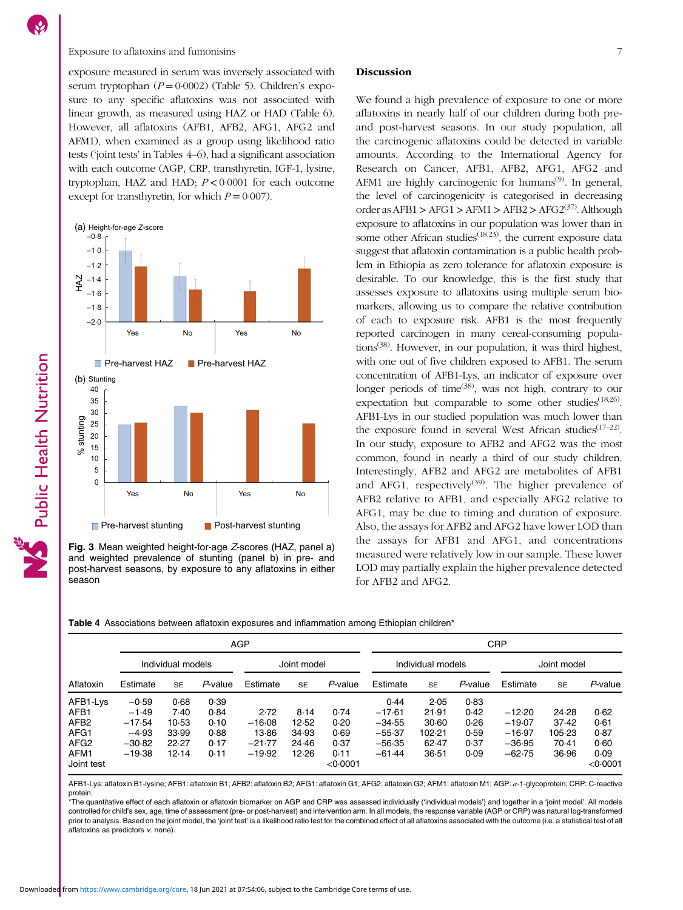### <span id="page-6-0"></span>Exposure to aflatoxins and fumonisins 7

exposure measured in serum was inversely associated with serum tryptophan  $(P = 0.0002)$  (Table [5\)](#page-7-0). Children's exposure to any specific aflatoxins was not associated with linear growth, as measured using HAZ or HAD (Table [6](#page-8-0)). However, all aflatoxins (AFB1, AFB2, AFG1, AFG2 and AFM1), when examined as a group using likelihood ratio tests ('joint tests' in Tables 4–[6](#page-8-0)), had a significant association with each outcome (AGP, CRP, transthyretin, IGF-1, lysine, tryptophan, HAZ and HAD;  $P < 0.0001$  for each outcome except for transthyretin, for which  $P = 0.007$ ).



Fig. 3 Mean weighted height-for-age <sup>Z</sup>-scores (HAZ, panel a) and weighted prevalence of stunting (panel b) in pre- and post-harvest seasons, by exposure to any aflatoxins in either season

#### Discussion

We found a high prevalence of exposure to one or more aflatoxins in nearly half of our children during both preand post-harvest seasons. In our study population, all the carcinogenic aflatoxins could be detected in variable amounts. According to the International Agency for Research on Cancer, AFB1, AFB2, AFG1, AFG2 and AFM1 are highly carcinogenic for humans<sup> $(9)$  $(9)$  $(9)$ </sup>. In general, the level of carcinogenicity is categorised in decreasing order as  $AFB1 > AFG1 > AFM1 > AFB2 > AFG2<sup>(37)</sup>$  $AFB1 > AFG1 > AFM1 > AFB2 > AFG2<sup>(37)</sup>$  $AFB1 > AFG1 > AFM1 > AFB2 > AFG2<sup>(37)</sup>$ . Although exposure to aflatoxins in our population was lower than in some other African studies<sup> $(18,23)$ </sup>, the current exposure data suggest that aflatoxin contamination is a public health problem in Ethiopia as zero tolerance for aflatoxin exposure is desirable. To our knowledge, this is the first study that assesses exposure to aflatoxins using multiple serum biomarkers, allowing us to compare the relative contribution of each to exposure risk. AFB1 is the most frequently reported carcinogen in many cereal-consuming popula-tions<sup>[\(38\)](#page-10-0)</sup>. However, in our population, it was third highest, with one out of five children exposed to AFB1. The serum concentration of AFB1-Lys, an indicator of exposure over longer periods of time<sup>([38](#page-10-0))</sup>, was not high, contrary to our expectation but comparable to some other studies<sup>([18](#page-10-0),[26](#page-10-0))</sup>. AFB1-Lys in our studied population was much lower than the exposure found in several West African studies<sup>[\(17](#page-10-0)-[22](#page-10-0))</sup>. In our study, exposure to AFB2 and AFG2 was the most common, found in nearly a third of our study children. Interestingly, AFB2 and AFG2 are metabolites of AFB1 and AFG1, respectively<sup>([39\)](#page-10-0)</sup>. The higher prevalence of AFB2 relative to AFB1, and especially AFG2 relative to AFG1, may be due to timing and duration of exposure. Also, the assays for AFB2 and AFG2 have lower LOD than the assays for AFB1 and AFG1, and concentrations measured were relatively low in our sample. These lower LOD may partially explain the higher prevalence detected for AFB2 and AFG2.

Table 4 Associations between aflatoxin exposures and inflammation among Ethiopian children\*

|                    |                   | <b>AGP</b> |         |             |           |                  |          | <b>CRP</b>        |         |             |           |                  |  |  |
|--------------------|-------------------|------------|---------|-------------|-----------|------------------|----------|-------------------|---------|-------------|-----------|------------------|--|--|
|                    | Individual models |            |         | Joint model |           |                  |          | Individual models |         | Joint model |           |                  |  |  |
| Aflatoxin          | Estimate          | <b>SE</b>  | P-value | Estimate    | <b>SE</b> | P-value          | Estimate | <b>SE</b>         | P-value | Estimate    | <b>SE</b> | P-value          |  |  |
| AFB1-Lys           | $-0.59$           | 0.68       | 0.39    |             |           |                  | 0.44     | 2.05              | 0.83    |             |           |                  |  |  |
| AFB1               | $-1.49$           | 7.40       | 0.84    | 2.72        | 8.14      | 0.74             | $-17.61$ | 21.91             | 0.42    | $-12.20$    | 24.28     | 0.62             |  |  |
| AFB <sub>2</sub>   | $-17.54$          | 10.53      | 0.10    | $-16.08$    | 12.52     | 0.20             | $-34.55$ | 30.60             | 0.26    | $-19.07$    | 37.42     | 0.61             |  |  |
| AFG1               | $-4.93$           | 33.99      | 0.88    | 13.86       | 34.93     | 0.69             | $-55.37$ | 102.21            | 0.59    | $-16.97$    | 105.23    | 0.87             |  |  |
| AFG <sub>2</sub>   | $-30.82$          | 22.27      | 0.17    | $-21.77$    | 24.46     | 0.37             | $-56.35$ | 62.47             | 0.37    | $-36.95$    | 70.41     | 0.60             |  |  |
| AFM1<br>Joint test | $-19.38$          | 12.14      | 0.11    | $-19.92$    | 12.26     | 0.11<br>< 0.0001 | $-61.44$ | 36.51             | 0.09    | $-62.75$    | 36.96     | 0.09<br>< 0.0001 |  |  |

AFB1-Lys: aflatoxin B1-lysine; AFB1: aflatoxin B1; AFB2: aflatoxin B2; AFG1: aflatoxin G1; AFG2: aflatoxin G2; AFM1: aflatoxin M1; AGP: α-1-glycoprotein; CRP: C-reactive protein.

\*The quantitative effect of each aflatoxin or aflatoxin biomarker on AGP and CRP was assessed individually ('individual models') and together in a 'joint model'. All models controlled for child's sex, age, time of assessment (pre- or post-harvest) and intervention arm. In all models, the response variable (AGP or CRP) was natural log-transformed prior to analysis. Based on the joint model, the 'joint test' is a likelihood ratio test for the combined effect of all aflatoxins associated with the outcome (i.e. a statistical test of all aflatoxins as predictors v. none).

Public Health Nutrition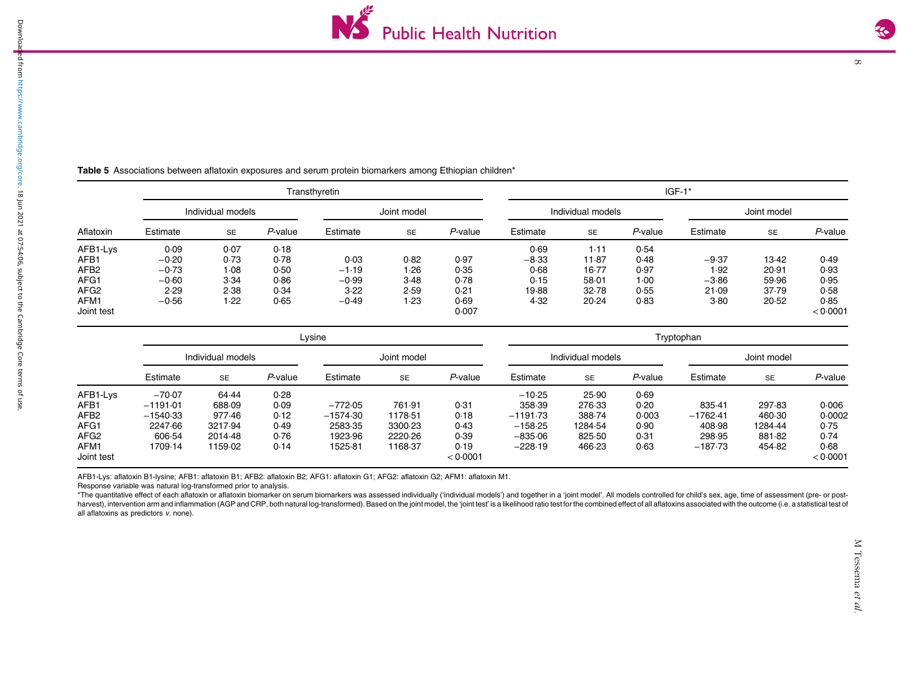|  | $\overline{\phantom{a}}$ |   |
|--|--------------------------|---|
|  |                          |   |
|  |                          | I |
|  |                          |   |
|  |                          |   |
|  |                          |   |
|  |                          |   |
|  |                          |   |
|  |                          |   |
|  |                          |   |
|  |                          |   |
|  |                          |   |
|  |                          |   |

 $\infty$ 

|                  |            |                   |         | Transthyretin |             |         |            |                   |         | $IGF-1*$    |             |            |
|------------------|------------|-------------------|---------|---------------|-------------|---------|------------|-------------------|---------|-------------|-------------|------------|
|                  |            | Individual models |         |               | Joint model |         |            | Individual models |         |             | Joint model |            |
| Aflatoxin        | Estimate   | <b>SE</b>         | P-value | Estimate      | <b>SE</b>   | P-value | Estimate   | <b>SE</b>         | P-value | Estimate    | <b>SE</b>   | P-value    |
| AFB1-Lys         | 0.09       | 0.07              | 0.18    |               |             |         | 0.69       | 1.11              | 0.54    |             |             |            |
| AFB1             | $-0.20$    | 0.73              | 0.78    | 0.03          | 0.82        | 0.97    | $-8.33$    | 11.87             | 0.48    | $-9.37$     | 13.42       | 0.49       |
| AFB <sub>2</sub> | $-0.73$    | 1.08              | 0.50    | $-1.19$       | 1.26        | 0.35    | 0.68       | 16.77             | 0.97    | 1.92        | 20.91       | 0.93       |
| AFG1             | $-0.60$    | 3.34              | 0.86    | $-0.99$       | 3.48        | 0.78    | 0.15       | 58.01             | 1.00    | $-3.86$     | 59.96       | 0.95       |
| AFG <sub>2</sub> | 2.29       | 2.38              | 0.34    | 3.22          | 2.59        | 0.21    | 19.88      | 32.78             | 0.55    | 21.09       | 37.79       | 0.58       |
| AFM1             | $-0.56$    | 1.22              | 0.65    | $-0.49$       | 1.23        | 0.69    | 4.32       | 20.24             | 0.83    | 3.80        | 20.52       | 0.85       |
| Joint test       |            |                   |         |               |             | 0.007   |            |                   |         |             |             | < 0.0001   |
|                  |            |                   |         | Lysine        |             |         |            |                   |         | Tryptophan  |             |            |
|                  |            | Individual models |         |               | Joint model |         |            | Individual models |         | Joint model |             |            |
|                  | Estimate   | SE                | P-value | Estimate      | <b>SE</b>   | P-value | Estimate   | <b>SE</b>         | P-value | Estimate    | SE          | $P$ -value |
| AFB1-Lys         | $-70.07$   | 64.44             | 0.28    |               |             |         | $-10.25$   | 25.90             | 0.69    |             |             |            |
| AFB1             | $-1191.01$ | 688.09            | 0.09    | $-772.05$     | 761.91      | 0.31    | 358.39     | 276.33            | 0.20    | 835.41      | 297.83      | 0.006      |
| AFB <sub>2</sub> | $-1540.33$ | 977.46            | 0.12    | $-1574.30$    | 1178.51     | 0.18    | $-1191.73$ | 388.74            | 0.003   | $-1762.41$  | 460.30      | 0.0002     |

<span id="page-7-0"></span>Table 5 Associations between aflatoxin exposures and serum protein biomarkers among Ethiopian children\*

AFB1-Lys: aflatoxin B1-lysine; AFB1: aflatoxin B1; AFB2: aflatoxin B2; AFG1: aflatoxin G1; AFG2: aflatoxin G2; AFM1: aflatoxin M1.

AFG1 2247·66 3217·94 0·49 2583·35 3300·23 0·43

AFG2 606·54 2014·48 0·76 1923·96 2220·26 0·39

AFM1 1709·14 1159·02 0·14 1525·81 1168·37 0·19

Response variable was natural log-transformed prior to analysis.

Joint test

\*The quantitative effect of each aflatoxin or aflatoxin biomarker on serum biomarkers was assessed individually ('individual models') and together in a 'joint model'. All models controlled for child's sex, age, time of ass harvest), intervention arm and inflammation (AGP and CRP, both natural log-transformed). Based on the joint model, the 'joint test' is a likelihood ratio test for the combined effect of all aflatoxins associated with the o all aflatoxins as predictors v. none).

 $< 0.0001$ 

<sup>−</sup>158·25 1284·54 0·90 408·98 1284·44 0·75

<sup>−</sup>835·06 825·50 0·31 298·95 881·82 0·74

<sup>−</sup>228·19 466·23 0·63 <sup>−</sup>187·73 454·82 0·68

 $< 0.0001$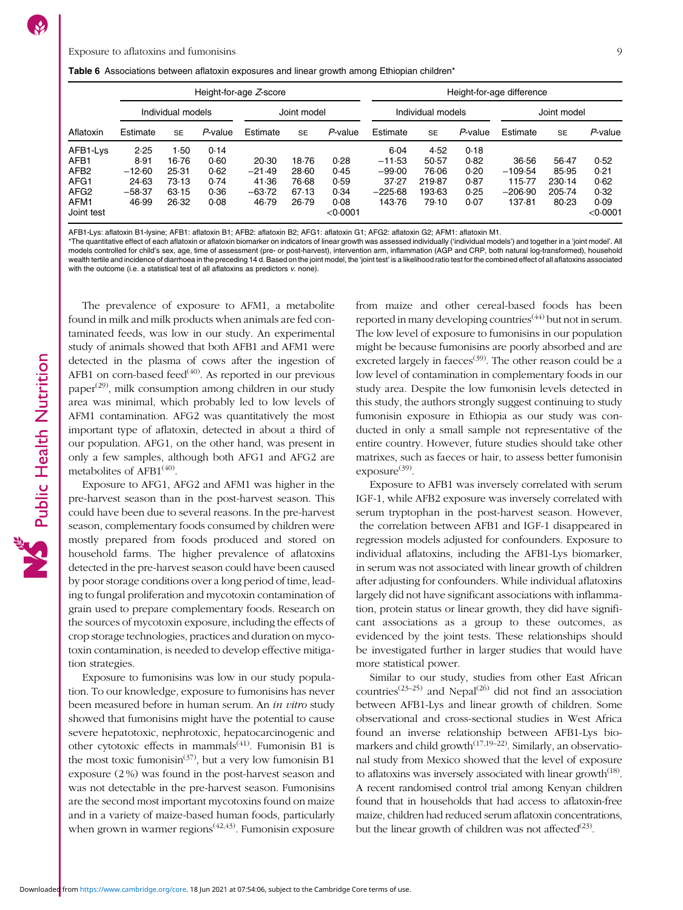<span id="page-8-0"></span>Table 6 Associations between aflatoxin exposures and linear growth among Ethiopian children\*

|                  |          | Height-for-age Z-score |         |             |           |          |           | Height-for-age difference |         |             |           |          |  |  |
|------------------|----------|------------------------|---------|-------------|-----------|----------|-----------|---------------------------|---------|-------------|-----------|----------|--|--|
|                  |          | Individual models      |         | Joint model |           |          |           | Individual models         |         | Joint model |           |          |  |  |
| Aflatoxin        | Estimate | <b>SE</b>              | P-value | Estimate    | <b>SE</b> | P-value  | Estimate  | <b>SE</b>                 | P-value | Estimate    | <b>SE</b> | P-value  |  |  |
| AFB1-Lys         | 2.25     | 1.50                   | 0.14    |             |           |          | 6.04      | 4.52                      | 0.18    |             |           |          |  |  |
| AFB <sub>1</sub> | 8.91     | 16.76                  | 0.60    | 20.30       | 18.76     | 0.28     | $-11.53$  | 50.57                     | 0.82    | 36.56       | 56.47     | 0.52     |  |  |
| AFB <sub>2</sub> | $-12.60$ | 25.31                  | 0.62    | $-21.49$    | 28.60     | 0.45     | $-99.00$  | 76.06                     | 0.20    | $-109.54$   | 85.95     | 0.21     |  |  |
| AFG1             | 24.63    | 73.13                  | 0.74    | 41.36       | 76.68     | 0.59     | 37.27     | 219.87                    | 0.87    | 115.77      | 230.14    | 0.62     |  |  |
| AFG <sub>2</sub> | $-58.37$ | 63.15                  | 0.36    | $-63.72$    | 67.13     | 0.34     | $-225.68$ | 193.63                    | 0.25    | $-206.90$   | 205.74    | 0.32     |  |  |
| AFM1             | 46.99    | 26.32                  | 0.08    | 46.79       | 26.79     | 0.08     | 143.76    | 79.10                     | 0.07    | 137.81      | 80.23     | 0.09     |  |  |
| Joint test       |          |                        |         |             |           | < 0.0001 |           |                           |         |             |           | < 0.0001 |  |  |

AFB1-Lys: aflatoxin B1-lysine; AFB1: aflatoxin B1; AFB2: aflatoxin B2; AFG1: aflatoxin G1; AFG2: aflatoxin G2; AFM1: aflatoxin M1.

\*The quantitative effect of each aflatoxin or aflatoxin biomarker on indicators of linear growth was assessed individually ('individual models') and together in a 'joint model'. All models controlled for child's sex, age, time of assessment (pre- or post-harvest), intervention arm, inflammation (AGP and CRP, both natural log-transformed), household wealth tertile and incidence of diarrhoea in the preceding 14 d. Based on the joint model, the 'joint test' is a likelihood ratio test for the combined effect of all aflatoxins associated with the outcome (i.e. a statistical test of all aflatoxins as predictors v. none).

The prevalence of exposure to AFM1, a metabolite found in milk and milk products when animals are fed contaminated feeds, was low in our study. An experimental study of animals showed that both AFB1 and AFM1 were detected in the plasma of cows after the ingestion of AFB1 on corn-based feed $(40)$  $(40)$ . As reported in our previous paper<sup>[\(29](#page-10-0))</sup>, milk consumption among children in our study area was minimal, which probably led to low levels of AFM1 contamination. AFG2 was quantitatively the most important type of aflatoxin, detected in about a third of our population. AFG1, on the other hand, was present in only a few samples, although both AFG1 and AFG2 are metabolites of  $AFB1<sup>(40)</sup>$  $AFB1<sup>(40)</sup>$  $AFB1<sup>(40)</sup>$ .

Exposure to AFG1, AFG2 and AFM1 was higher in the pre-harvest season than in the post-harvest season. This could have been due to several reasons. In the pre-harvest season, complementary foods consumed by children were mostly prepared from foods produced and stored on household farms. The higher prevalence of aflatoxins detected in the pre-harvest season could have been caused by poor storage conditions over a long period of time, leading to fungal proliferation and mycotoxin contamination of grain used to prepare complementary foods. Research on the sources of mycotoxin exposure, including the effects of crop storage technologies, practices and duration on mycotoxin contamination, is needed to develop effective mitigation strategies.

Exposure to fumonisins was low in our study population. To our knowledge, exposure to fumonisins has never been measured before in human serum. An in vitro study showed that fumonisins might have the potential to cause severe hepatotoxic, nephrotoxic, hepatocarcinogenic and other cytotoxic effects in mammals $(41)$  $(41)$  $(41)$ . Fumonisin B1 is the most toxic fumonisin<sup>[\(37\)](#page-10-0)</sup>, but a very low fumonisin B1 exposure (2 %) was found in the post-harvest season and was not detectable in the pre-harvest season. Fumonisins are the second most important mycotoxins found on maize and in a variety of maize-based human foods, particularly when grown in warmer regions $(42, 43)$ . Fumonisin exposure from maize and other cereal-based foods has been reported in many developing countries<sup> $(44)$ </sup> but not in serum. The low level of exposure to fumonisins in our population might be because fumonisins are poorly absorbed and are excreted largely in faeces<sup> $(39)$  $(39)$ </sup>. The other reason could be a low level of contamination in complementary foods in our study area. Despite the low fumonisin levels detected in this study, the authors strongly suggest continuing to study fumonisin exposure in Ethiopia as our study was conducted in only a small sample not representative of the entire country. However, future studies should take other matrixes, such as faeces or hair, to assess better fumonisin  $exposure<sup>(39)</sup>$  $exposure<sup>(39)</sup>$  $exposure<sup>(39)</sup>$ .

Exposure to AFB1 was inversely correlated with serum IGF-1, while AFB2 exposure was inversely correlated with serum tryptophan in the post-harvest season. However, the correlation between AFB1 and IGF-1 disappeared in regression models adjusted for confounders. Exposure to individual aflatoxins, including the AFB1-Lys biomarker, in serum was not associated with linear growth of children after adjusting for confounders. While individual aflatoxins largely did not have significant associations with inflammation, protein status or linear growth, they did have significant associations as a group to these outcomes, as evidenced by the joint tests. These relationships should be investigated further in larger studies that would have more statistical power.

Similar to our study, studies from other East African countries<sup> $(23-25)$  $(23-25)$  $(23-25)$  $(23-25)$  $(23-25)$ </sup> and Nepal<sup>([26\)](#page-10-0)</sup> did not find an association between AFB1-Lys and linear growth of children. Some observational and cross-sectional studies in West Africa found an inverse relationship between AFB1-Lys biomarkers and child growth<sup> $(17,19-22)$  $(17,19-22)$  $(17,19-22)$ </sup>. Similarly, an observational study from Mexico showed that the level of exposure to aflatoxins was inversely associated with linear growth $(18)$  $(18)$  $(18)$ . A recent randomised control trial among Kenyan children found that in households that had access to aflatoxin-free maize, children had reduced serum aflatoxin concentrations, but the linear growth of children was not affected<sup>([23](#page-10-0))</sup>.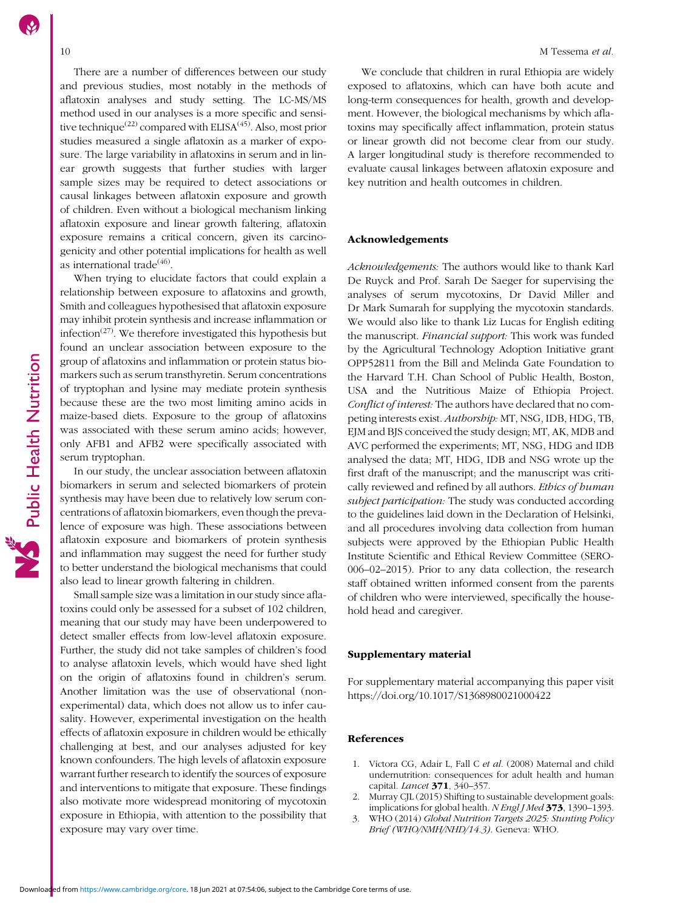<span id="page-9-0"></span>There are a number of differences between our study and previous studies, most notably in the methods of aflatoxin analyses and study setting. The LC-MS/MS method used in our analyses is a more specific and sensi-tive technique<sup>[\(22\)](#page-10-0)</sup> compared with ELISA<sup>[\(45\)](#page-11-0)</sup>. Also, most prior studies measured a single aflatoxin as a marker of exposure. The large variability in aflatoxins in serum and in linear growth suggests that further studies with larger sample sizes may be required to detect associations or causal linkages between aflatoxin exposure and growth of children. Even without a biological mechanism linking aflatoxin exposure and linear growth faltering, aflatoxin exposure remains a critical concern, given its carcinogenicity and other potential implications for health as well as international trade<sup> $(46)$  $(46)$  $(46)$ </sup>.

When trying to elucidate factors that could explain a relationship between exposure to aflatoxins and growth, Smith and colleagues hypothesised that aflatoxin exposure may inhibit protein synthesis and increase inflammation or infection<sup> $(27)$  $(27)$  $(27)$ </sup>. We therefore investigated this hypothesis but found an unclear association between exposure to the group of aflatoxins and inflammation or protein status biomarkers such as serum transthyretin. Serum concentrations of tryptophan and lysine may mediate protein synthesis because these are the two most limiting amino acids in maize-based diets. Exposure to the group of aflatoxins was associated with these serum amino acids; however, only AFB1 and AFB2 were specifically associated with serum tryptophan.

In our study, the unclear association between aflatoxin biomarkers in serum and selected biomarkers of protein synthesis may have been due to relatively low serum concentrations of aflatoxin biomarkers, even though the prevalence of exposure was high. These associations between aflatoxin exposure and biomarkers of protein synthesis and inflammation may suggest the need for further study to better understand the biological mechanisms that could also lead to linear growth faltering in children.

Small sample size was a limitation in our study since aflatoxins could only be assessed for a subset of 102 children, meaning that our study may have been underpowered to detect smaller effects from low-level aflatoxin exposure. Further, the study did not take samples of children's food to analyse aflatoxin levels, which would have shed light on the origin of aflatoxins found in children's serum. Another limitation was the use of observational (nonexperimental) data, which does not allow us to infer causality. However, experimental investigation on the health effects of aflatoxin exposure in children would be ethically challenging at best, and our analyses adjusted for key known confounders. The high levels of aflatoxin exposure warrant further research to identify the sources of exposure and interventions to mitigate that exposure. These findings also motivate more widespread monitoring of mycotoxin exposure in Ethiopia, with attention to the possibility that exposure may vary over time.

We conclude that children in rural Ethiopia are widely exposed to aflatoxins, which can have both acute and long-term consequences for health, growth and development. However, the biological mechanisms by which aflatoxins may specifically affect inflammation, protein status or linear growth did not become clear from our study. A larger longitudinal study is therefore recommended to evaluate causal linkages between aflatoxin exposure and key nutrition and health outcomes in children.

#### Acknowledgements

Acknowledgements: The authors would like to thank Karl De Ruyck and Prof. Sarah De Saeger for supervising the analyses of serum mycotoxins, Dr David Miller and Dr Mark Sumarah for supplying the mycotoxin standards. We would also like to thank Liz Lucas for English editing the manuscript. Financial support: This work was funded by the Agricultural Technology Adoption Initiative grant OPP52811 from the Bill and Melinda Gate Foundation to the Harvard T.H. Chan School of Public Health, Boston, USA and the Nutritious Maize of Ethiopia Project. Conflict of interest: The authors have declared that no competing interests exist. Authorship: MT, NSG, IDB, HDG, TB, EJM and BJS conceived the study design; MT, AK, MDB and AVC performed the experiments; MT, NSG, HDG and IDB analysed the data; MT, HDG, IDB and NSG wrote up the first draft of the manuscript; and the manuscript was critically reviewed and refined by all authors. *Ethics of human* subject participation: The study was conducted according to the guidelines laid down in the Declaration of Helsinki, and all procedures involving data collection from human subjects were approved by the Ethiopian Public Health Institute Scientific and Ethical Review Committee (SERO-006–02–2015). Prior to any data collection, the research staff obtained written informed consent from the parents of children who were interviewed, specifically the household head and caregiver.

#### Supplementary material

For supplementary material accompanying this paper visit <https://doi.org/10.1017/S1368980021000422>

#### References

- 1. Victora CG, Adair L, Fall C et al. (2008) Maternal and child undernutrition: consequences for adult health and human capital. *Lancet* **371**, 340-357.
- 2. Murray CJL (2015) Shifting to sustainable development goals: implications for global health. N Engl J Med 373, 1390-1393.
- 3. WHO (2014) Global Nutrition Targets 2025: Stunting Policy Brief (WHO/NMH/NHD/14.3). Geneva: WHO.

Public Health Nutrition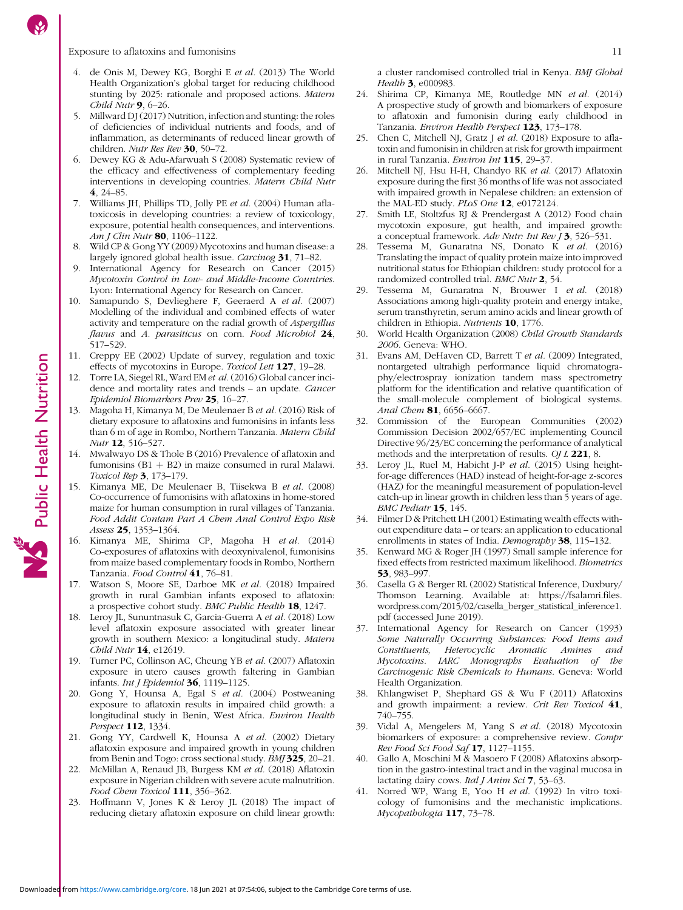<span id="page-10-0"></span>Exposure to aflatoxins and fumonisins 11

- 4. de Onis M, Dewey KG, Borghi E et al. (2013) The World Health Organization's global target for reducing childhood stunting by 2025: rationale and proposed actions. Matern Child Nutr  $9, 6-26$ .
- 5. Millward DJ (2017) Nutrition, infection and stunting: the roles of deficiencies of individual nutrients and foods, and of inflammation, as determinants of reduced linear growth of children. Nutr Res Rev 30, 50-72.
- 6. Dewey KG & Adu-Afarwuah S (2008) Systematic review of the efficacy and effectiveness of complementary feeding interventions in developing countries. Matern Child Nutr 4, 24–85.
- 7. Williams JH, Phillips TD, Jolly PE et al. (2004) Human aflatoxicosis in developing countries: a review of toxicology, exposure, potential health consequences, and interventions. Am J Clin Nutr 80, 1106-1122.
- 8. Wild CP & Gong YY (2009) Mycotoxins and human disease: a largely ignored global health issue. Carcinog 31, 71–82.
- 9. International Agency for Research on Cancer (2015) Mycotoxin Control in Low- and Middle-Income Countries. Lyon: International Agency for Research on Cancer.
- Samapundo S, Devlieghere F, Geeraerd A et al. (2007) Modelling of the individual and combined effects of water activity and temperature on the radial growth of Aspergillus flavus and A. parasiticus on corn. Food Microbiol 24, 517–529.
- 11. Creppy EE (2002) Update of survey, regulation and toxic effects of mycotoxins in Europe. Toxicol Lett 127, 19–28.
- 12. Torre LA, Siegel RL, Ward EM et al.(2016) Global cancer incidence and mortality rates and trends – an update. Cancer Epidemiol Biomarkers Prev 25, 16–27.
- Magoha H, Kimanya M, De Meulenaer B et al. (2016) Risk of dietary exposure to aflatoxins and fumonisins in infants less than 6 m of age in Rombo, Northern Tanzania. Matern Child Nutr 12, 516–527.
- 14. Mwalwayo DS & Thole B (2016) Prevalence of aflatoxin and fumonisins  $(B1 + B2)$  in maize consumed in rural Malawi. Toxicol Rep 3, 173–179.
- 15. Kimanya ME, De Meulenaer B, Tiisekwa B et al. (2008) Co-occurrence of fumonisins with aflatoxins in home-stored maize for human consumption in rural villages of Tanzania. Food Addit Contam Part A Chem Anal Control Expo Risk Assess 25, 1353–1364.
- 16. Kimanya ME, Shirima CP, Magoha H et al. (2014) Co-exposures of aflatoxins with deoxynivalenol, fumonisins from maize based complementary foods in Rombo, Northern Tanzania. Food Control 41, 76–81.
- 17. Watson S, Moore SE, Darboe MK et al. (2018) Impaired growth in rural Gambian infants exposed to aflatoxin: a prospective cohort study. BMC Public Health 18, 1247.
- 18. Leroy JL, Sununtnasuk C, Garcia-Guerra A et al. (2018) Low level aflatoxin exposure associated with greater linear growth in southern Mexico: a longitudinal study. Matern Child Nutr 14, e12619.
- 19. Turner PC, Collinson AC, Cheung YB et al. (2007) Aflatoxin exposure in utero causes growth faltering in Gambian infants. Int J Epidemiol 36, 1119–1125.
- 20. Gong Y, Hounsa A, Egal S et al. (2004) Postweaning exposure to aflatoxin results in impaired child growth: a longitudinal study in Benin, West Africa. Environ Health Perspect 112, 1334.
- 21. Gong YY, Cardwell K, Hounsa A et al. (2002) Dietary aflatoxin exposure and impaired growth in young children from Benin and Togo: cross sectional study. BMJ 325, 20–21.
- 22. McMillan A, Renaud JB, Burgess KM et al. (2018) Aflatoxin exposure in Nigerian children with severe acute malnutrition. Food Chem Toxicol 111, 356-362.
- 23. Hoffmann V, Jones K & Leroy JL (2018) The impact of reducing dietary aflatoxin exposure on child linear growth:

a cluster randomised controlled trial in Kenya. BMJ Global Health 3, e000983.

- 24. Shirima CP, Kimanya ME, Routledge MN et al. (2014) A prospective study of growth and biomarkers of exposure to aflatoxin and fumonisin during early childhood in Tanzania. Environ Health Perspect 123, 173–178.
- 25. Chen C, Mitchell NJ, Gratz J et al. (2018) Exposure to aflatoxin and fumonisin in children at risk for growth impairment in rural Tanzania. Environ Int 115, 29–37.
- 26. Mitchell NJ, Hsu H-H, Chandyo RK et al. (2017) Aflatoxin exposure during the first 36 months of life was not associated with impaired growth in Nepalese children: an extension of the MAL-ED study. PLoS One 12, e0172124.
- Smith LE, Stoltzfus RJ & Prendergast A (2012) Food chain mycotoxin exposure, gut health, and impaired growth: a conceptual framework. Adv Nutr: Int Rev  $J3$ , 526–531.
- 28. Tessema M, Gunaratna NS, Donato K et al. (2016) Translating the impact of quality protein maize into improved nutritional status for Ethiopian children: study protocol for a randomized controlled trial. BMC Nutr 2, 54.
- 29. Tessema M, Gunaratna N, Brouwer I et al. (2018) Associations among high-quality protein and energy intake, serum transthyretin, serum amino acids and linear growth of children in Ethiopia. Nutrients 10, 1776.
- 30. World Health Organization (2008) Child Growth Standards 2006. Geneva: WHO.
- 31. Evans AM, DeHaven CD, Barrett T et al. (2009) Integrated, nontargeted ultrahigh performance liquid chromatography/electrospray ionization tandem mass spectrometry platform for the identification and relative quantification of the small-molecule complement of biological systems. Anal Chem 81, 6656-6667.
- 32. Commission of the European Communities (2002) Commission Decision 2002/657/EC implementing Council Directive 96/23/EC concerning the performance of analytical methods and the interpretation of results. Of L 221, 8.
- 33. Leroy JL, Ruel M, Habicht J-P et al. (2015) Using heightfor-age differences (HAD) instead of height-for-age z-scores (HAZ) for the meaningful measurement of population-level catch-up in linear growth in children less than 5 years of age. BMC Pediatr 15, 145.
- 34. Filmer D & Pritchett LH (2001) Estimating wealth effects without expenditure data – or tears: an application to educational enrollments in states of India. Demography 38, 115-132.
- 35. Kenward MG & Roger JH (1997) Small sample inference for fixed effects from restricted maximum likelihood. Biometrics 53, 983–997.
- 36. Casella G & Berger RL (2002) Statistical Inference, Duxbury/ Thomson Learning. Available at: [https://fsalamri.files.](https://fsalamri.files.wordpress.com/2015/02/casella_berger_statistical_inference1.pdf) [wordpress.com/2015/02/casella\\_berger\\_statistical\\_inference1.](https://fsalamri.files.wordpress.com/2015/02/casella_berger_statistical_inference1.pdf) [pdf](https://fsalamri.files.wordpress.com/2015/02/casella_berger_statistical_inference1.pdf) (accessed June 2019).
- 37. International Agency for Research on Cancer (1993) Some Naturally Occurring Substances: Food Items and<br>Constituents, Heterocyclic Aromatic Amines and Aromatic Amines and Mycotoxins. IARC Monographs Evaluation of the Carcinogenic Risk Chemicals to Humans. Geneva: World Health Organization.
- 38. Khlangwiset P, Shephard GS & Wu F (2011) Aflatoxins and growth impairment: a review. Crit Rev Toxicol 41, 740–755.
- 39. Vidal A, Mengelers M, Yang S et al. (2018) Mycotoxin biomarkers of exposure: a comprehensive review. Compr Rev Food Sci Food Saf 17, 1127–1155.
- 40. Gallo A, Moschini M & Masoero F (2008) Aflatoxins absorption in the gastro-intestinal tract and in the vaginal mucosa in lactating dairy cows. Ital J Anim Sci 7, 53-63.
- Norred WP, Wang E, Yoo H et al. (1992) In vitro toxicology of fumonisins and the mechanistic implications. Mycopathologia 117, 73–78.